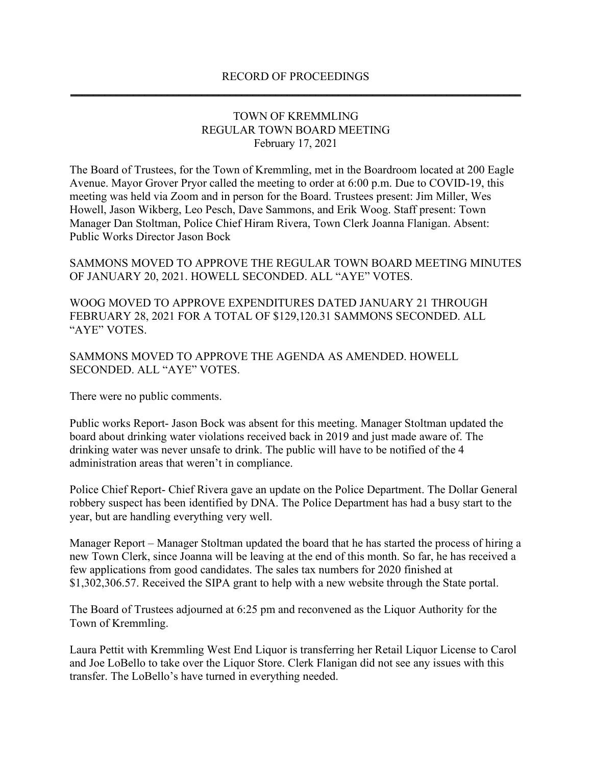## RECORD OF PROCEEDINGS **\_\_\_\_\_\_\_\_\_\_\_\_\_\_\_\_\_\_\_\_\_\_\_\_\_\_\_\_\_\_\_\_\_\_\_\_\_\_\_\_\_\_\_\_\_\_\_\_\_\_\_\_\_\_\_\_\_\_\_\_\_\_\_\_\_\_\_\_\_\_\_\_\_\_\_\_\_\_\_**

## TOWN OF KREMMLING REGULAR TOWN BOARD MEETING February 17, 2021

The Board of Trustees, for the Town of Kremmling, met in the Boardroom located at 200 Eagle Avenue. Mayor Grover Pryor called the meeting to order at 6:00 p.m. Due to COVID-19, this meeting was held via Zoom and in person for the Board. Trustees present: Jim Miller, Wes Howell, Jason Wikberg, Leo Pesch, Dave Sammons, and Erik Woog. Staff present: Town Manager Dan Stoltman, Police Chief Hiram Rivera, Town Clerk Joanna Flanigan. Absent: Public Works Director Jason Bock

SAMMONS MOVED TO APPROVE THE REGULAR TOWN BOARD MEETING MINUTES OF JANUARY 20, 2021. HOWELL SECONDED. ALL "AYE" VOTES.

WOOG MOVED TO APPROVE EXPENDITURES DATED JANUARY 21 THROUGH FEBRUARY 28, 2021 FOR A TOTAL OF \$129,120.31 SAMMONS SECONDED. ALL "AYE" VOTES.

SAMMONS MOVED TO APPROVE THE AGENDA AS AMENDED. HOWELL SECONDED. ALL "AYE" VOTES.

There were no public comments.

Public works Report- Jason Bock was absent for this meeting. Manager Stoltman updated the board about drinking water violations received back in 2019 and just made aware of. The drinking water was never unsafe to drink. The public will have to be notified of the 4 administration areas that weren't in compliance.

Police Chief Report- Chief Rivera gave an update on the Police Department. The Dollar General robbery suspect has been identified by DNA. The Police Department has had a busy start to the year, but are handling everything very well.

Manager Report – Manager Stoltman updated the board that he has started the process of hiring a new Town Clerk, since Joanna will be leaving at the end of this month. So far, he has received a few applications from good candidates. The sales tax numbers for 2020 finished at \$1,302,306.57. Received the SIPA grant to help with a new website through the State portal.

The Board of Trustees adjourned at 6:25 pm and reconvened as the Liquor Authority for the Town of Kremmling.

Laura Pettit with Kremmling West End Liquor is transferring her Retail Liquor License to Carol and Joe LoBello to take over the Liquor Store. Clerk Flanigan did not see any issues with this transfer. The LoBello's have turned in everything needed.